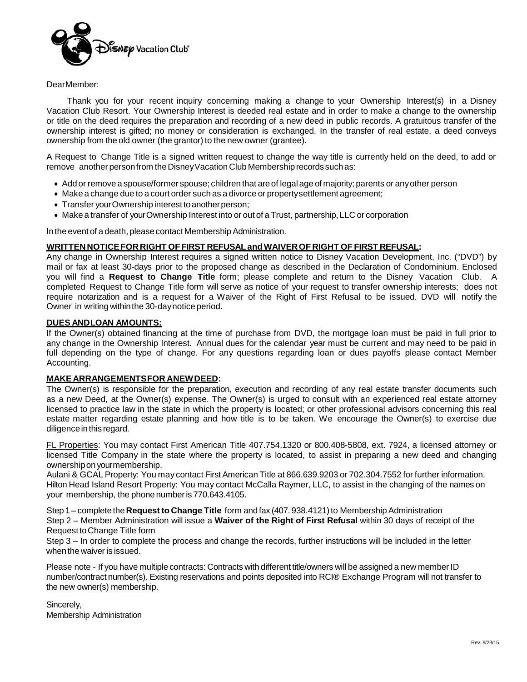

### DearMember:

Thank you for your recent inquiry concerning making a change to your Ownership Interest(s) in a Disney Vacation Club Resort. Your Ownership Interest is deeded real estate and in order to make a change to the ownership or title on the deed requires the preparation and recording of a new deed in public records. A gratuitous transfer of the ownership interest is gifted; no money or consideration is exchanged. In the transfer of real estate, a deed conveys ownership from the old owner (the grantor) to the new owner (grantee).

A Request to Change Title is a signed written request to change the way title is currently held on the deed, to add or remove another person from the Disney Vacation Club Membership records such as:

- Add or remove a spouse/former spouse; children that are of legal age of majority; parents or any other person
- Make a change due to a court order such as a divorce or propertysettlement agreement;
- Transfer your Ownership interest to another person;
- Make a transfer of yourOwnership Interest into or out of a Trust, partnership, LLC or corporation

In the event of a death, please contact Membership Administration.

#### **WRITTEN NOTICEFOR RIGHT OFFIRST REFUSALandWAIVEROF RIGHT OF FIRST REFUSAL:**

Any change in Ownership Interest requires a signed written notice to Disney Vacation Development, Inc. ("DVD") by mail or fax at least 30-days prior to the proposed change as described in the Declaration of Condominium. Enclosed you will find a **Request to Change Title** form; please complete and return to the Disney Vacation Club. A completed Request to Change Title form will serve as notice of your request to transfer ownership interests; does not require notarization and is a request for a Waiver of the Right of First Refusal to be issued. DVD will notify the Owner in writing within the 30-day notice period.

#### **DUES ANDLOAN AMOUNTS:**

If the Owner(s) obtained financing at the time of purchase from DVD, the mortgage loan must be paid in full prior to any change in the Ownership Interest. Annual dues for the calendar year must be current and may need to be paid in full depending on the type of change. For any questions regarding loan or dues payoffs please contact Member Accounting.

#### **MAKE ARRANGEMENTSFOR ANEWDEED:**

The Owner(s) is responsible for the preparation, execution and recording of any real estate transfer documents such as a new Deed, at the Owner(s) expense. The Owner(s) is urged to consult with an experienced real estate attorney licensed to practice law in the state in which the property is located; or other professional advisors concerning this real estate matter regarding estate planning and how title is to be taken. We encourage the Owner(s) to exercise due diligence in this regard.

FL Properties: You may contact First American Title 407.754.1320 or 800.408-5808, ext. 7924, a licensed attorney or licensed Title Company in the state where the property is located, to assist in preparing a new deed and changing ownershipon yourmembership.

Aulani & GCAL Property: You may contact First American Title at 866.639.9203 or 702.304.7552 for further information. Hilton Head Island Resort Property: You may contact McCalla Raymer, LLC, to assist in the changing of the names on your membership, the phone numberis 770.643.4105.

Step 1 – complete the Request to Change Title form and fax (407. 938.4121) to Membership Administration Step 2 – Member Administration will issue a **Waiver of the Right of First Refusal** within 30 days of receipt of the RequesttoChange Title form

Step 3 – In order to complete the process and change the records, further instructions will be included in the letter whenthe waiver is issued.

Please note - If you have multiple contracts: Contracts with different title/owners will be assigned a new member ID number/contract number(s). Existing reservations and points deposited into RCI® Exchange Program will not transfer to the new owner(s) membership.

Sincerely, Membership Administration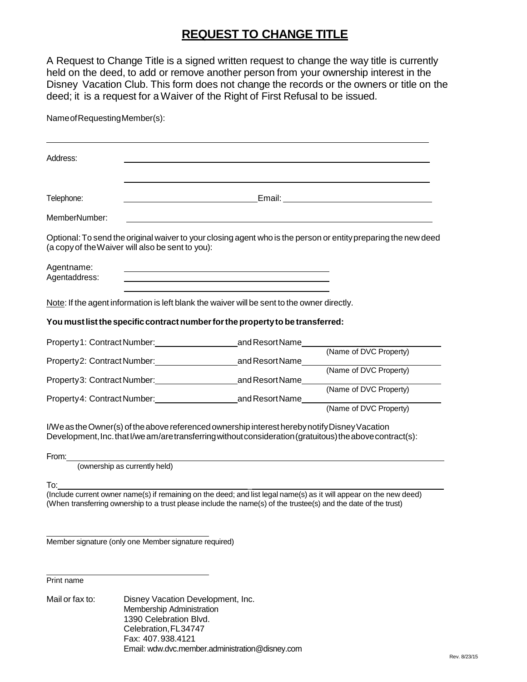# **REQUEST TO CHANGE TITLE**

A Request to Change Title is a signed written request to change the way title is currently held on the deed, to add or remove another person from your ownership interest in the Disney Vacation Club. This form does not change the records or the owners or title on the deed; it is a request for a Waiver of the Right of First Refusal to be issued.

NameofRequestingMember(s):

| Address:                                                                                    |                                                                                                                                                                                                            |  |  |  |  |  |  |
|---------------------------------------------------------------------------------------------|------------------------------------------------------------------------------------------------------------------------------------------------------------------------------------------------------------|--|--|--|--|--|--|
| Telephone:                                                                                  | <u> 1989 - Johann Stoff, deutscher Stoffen und der Stoffen und der Stoffen und der Stoffen und der Stoffen und der</u>                                                                                     |  |  |  |  |  |  |
| MemberNumber:                                                                               | <u> 1980 - Johann Barn, mars ann an t-Amhain Aonaich an t-Aonaich an t-Aonaich ann an t-Aonaich ann an t-Aonaich</u>                                                                                       |  |  |  |  |  |  |
| (a copy of the Waiver will also be sent to you):                                            | Optional: To send the original waiver to your closing agent who is the person or entity preparing the new deed                                                                                             |  |  |  |  |  |  |
| Agentname:<br>Agentaddress:                                                                 |                                                                                                                                                                                                            |  |  |  |  |  |  |
| Note: If the agent information is left blank the waiver will be sent to the owner directly. |                                                                                                                                                                                                            |  |  |  |  |  |  |
| You must list the specific contract number for the property to be transferred:              |                                                                                                                                                                                                            |  |  |  |  |  |  |
| Property1: Contract Number: and Resort Name                                                 |                                                                                                                                                                                                            |  |  |  |  |  |  |
| Property 2: Contract Number: and Resort Name                                                | (Name of DVC Property)                                                                                                                                                                                     |  |  |  |  |  |  |
| Property 3: Contract Number: and Resort Name                                                | (Name of DVC Property)                                                                                                                                                                                     |  |  |  |  |  |  |
| Property4: Contract Number: and Resort Name                                                 | (Name of DVC Property)                                                                                                                                                                                     |  |  |  |  |  |  |
|                                                                                             | (Name of DVC Property)                                                                                                                                                                                     |  |  |  |  |  |  |
|                                                                                             | I/We as the Owner(s) of the above referenced ownership interest hereby notify Disney Vacation<br>Development, Inc. that I/we am/are transferring without consideration (gratuitous) the above contract(s): |  |  |  |  |  |  |
| From:                                                                                       |                                                                                                                                                                                                            |  |  |  |  |  |  |
| (ownership as currently held)                                                               |                                                                                                                                                                                                            |  |  |  |  |  |  |
| To:                                                                                         | (Include current owner name(s) if remaining on the deed; and list legal name(s) as it will appear on the new deed)                                                                                         |  |  |  |  |  |  |
|                                                                                             |                                                                                                                                                                                                            |  |  |  |  |  |  |

Member signature (only one Member signature required)

Print name

Mail or fax to: Disney Vacation Development, Inc. Membership Administration 1390 Celebration Blvd. Celebration,FL34747 Fax: 407.938.4121 Email: [wdw.dvc.member.administration@disney.com](mailto:wdw.dvc.member.administration@disney.com)